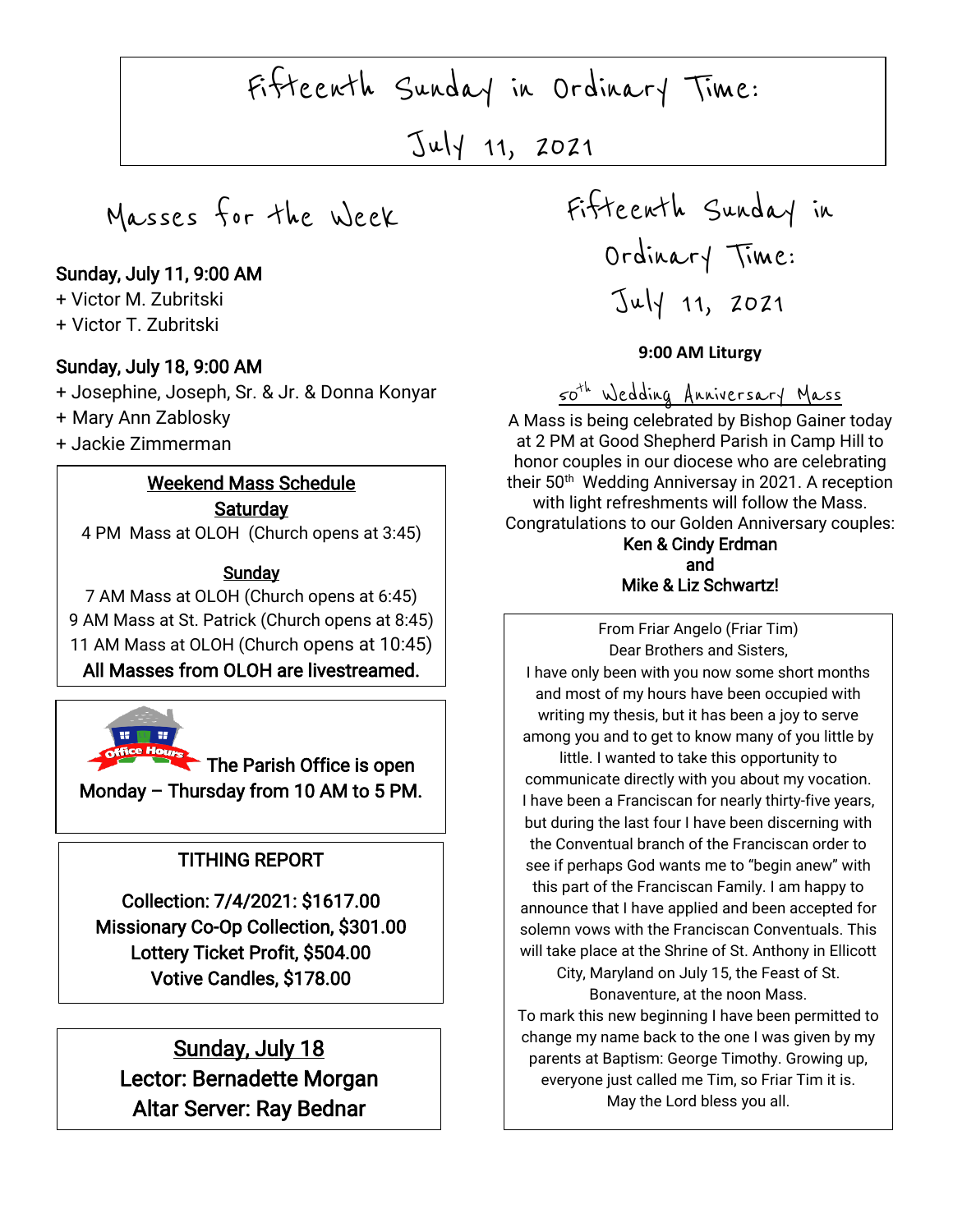Fifteenth Sunday in Ordinary Time:

July 11, 2021

Masses for the Week

### Sunday, July 11, 9:00 AM

+ Victor M. Zubritski

+ Victor T. Zubritski

#### Sunday, July 18, 9:00 AM

+ Josephine, Joseph, Sr. & Jr. & Donna Konyar

+ Mary Ann Zablosky

+ Jackie Zimmerman

### Weekend Mass Schedule

**Saturday** 4 PM Mass at OLOH (Church opens at 3:45)

#### **Sunday**

7 AM Mass at OLOH (Church opens at 6:45) 9 AM Mass at St. Patrick (Church opens at 8:45) 11 AM Mass at OLOH (Church opens at 10:45) All Masses from OLOH are livestreamed.



The Parish Office is open Monday – Thursday from 10 AM to 5 PM.

# TITHING REPORT

Collection: 7/4/2021: \$1617.00 Missionary Co-Op Collection, \$301.00 Lottery Ticket Profit, \$504.00 Votive Candles, \$178.00

 Sunday, July 18 Lector: Bernadette Morgan Altar Server: Ray Bednar

 $\overline{a}$ 

Fifteenth Sunday in Ordinary Time: July 11, 2021

### **9:00 AM Liturgy**

50th Wedding Anniversary Mass

A Mass is being celebrated by Bishop Gainer today at 2 PM at Good Shepherd Parish in Camp Hill to honor couples in our diocese who are celebrating their 50<sup>th</sup> Wedding Anniversay in 2021. A reception with light refreshments will follow the Mass. Congratulations to our Golden Anniversary couples: Ken & Cindy Erdman

### and Mike & Liz Schwartz!

 From Friar Angelo (Friar Tim) I have only been with you now some short months Dear Brothers and Sisters, and most of my hours have been occupied with writing my thesis, but it has been a joy to serve among you and to get to know many of you little by little. I wanted to take this opportunity to communicate directly with you about my vocation. I have been a Franciscan for nearly thirty-five years, but during the last four I have been discerning with the Conventual branch of the Franciscan order to see if perhaps God wants me to "begin anew" with this part of the Franciscan Family. I am happy to announce that I have applied and been accepted for solemn vows with the Franciscan Conventuals. This will take place at the Shrine of St. Anthony in Ellicott City, Maryland on July 15, the Feast of St. Bonaventure, at the noon Mass.

To mark this new beginning I have been permitted to change my name back to the one I was given by my parents at Baptism: George Timothy. Growing up, everyone just called me Tim, so Friar Tim it is. May the Lord bless you all.